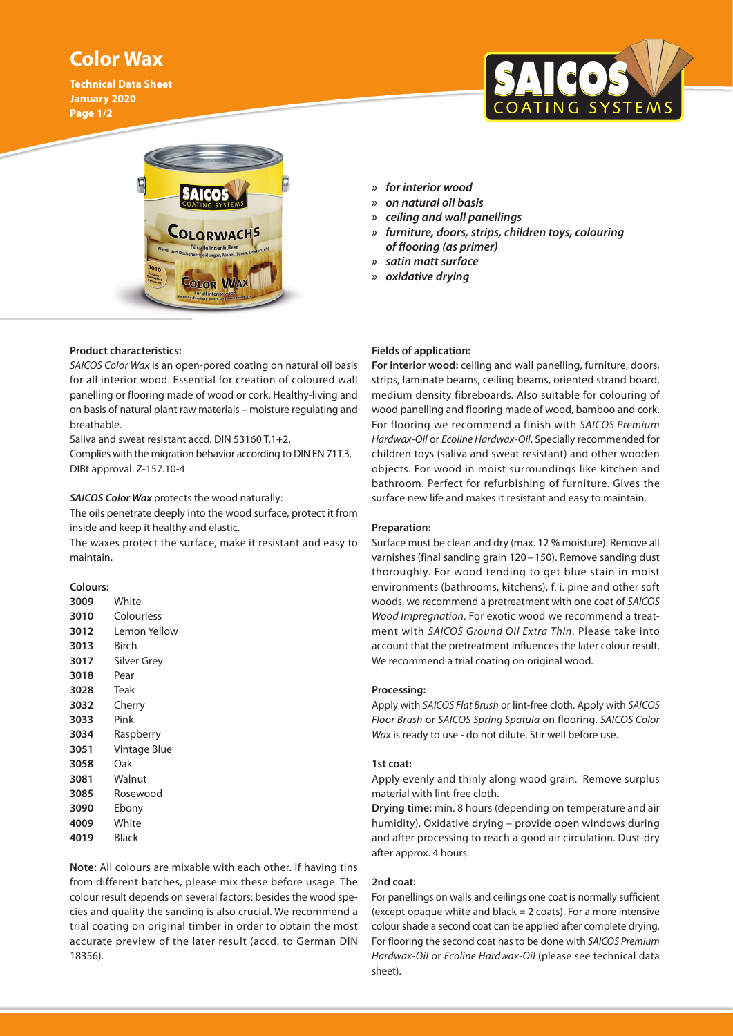# **Color Wax**

**Technical Data Sheet January 2020 Page 1/2**





# **Product characteristics:**

*SAICOS Color Wax* is an open-pored coating on natural oil basis for all interior wood. Essential for creation of coloured wall panelling or flooring made of wood or cork. Healthy-living and on basis of natural plant raw materials – moisture regulating and breathable.

Saliva and sweat resistant accd. DIN 53160 T.1+2.

Complies with the migration behavior according to DIN EN 71T.3. DIBt approval: Z-157.10-4

# *SAICOS Color Wax* protects the wood naturally:

The oils penetrate deeply into the wood surface, protect it from inside and keep it healthy and elastic.

The waxes protect the surface, make it resistant and easy to maintain.

# **Colours:**

| 3009 | White        |
|------|--------------|
| 3010 | Colourless   |
| 3012 | Lemon Yellow |
| 3013 | Birch        |
| 3017 | Silver Grey  |
| 3018 | Pear         |
| 3028 | Teak         |
| 3032 | Cherry       |
| 3033 | Pink         |
| 3034 | Raspberry    |
| 3051 | Vintage Blue |
| 3058 | Oak          |
| 3081 | Walnut       |
| 3085 | Rosewood     |
| 3090 | Ebony        |
| 4009 | White        |
| 4019 | Black        |

**Note:** All colours are mixable with each other. If having tins from different batches, please mix these before usage. The colour result depends on several factors: besides the wood species and quality the sanding is also crucial. We recommend a trial coating on original timber in order to obtain the most accurate preview of the later result (accd. to German DIN 18356).

- *» for interior wood*
- *» on natural oil basis*
- *» ceiling and wall panellings*
- *» furniture, doors, strips, children toys, colouring of flooring (as primer)*
- *» satin matt surface*
- *» oxidative drying*

# **Fields of application:**

**For interior wood:** ceiling and wall panelling, furniture, doors, strips, laminate beams, ceiling beams, oriented strand board, medium density fibreboards. Also suitable for colouring of wood panelling and flooring made of wood, bamboo and cork. For flooring we recommend a finish with *SAICOS Premium Hardwax-Oil* or *Ecoline Hardwax-Oil*. Specially recommended for children toys (saliva and sweat resistant) and other wooden objects. For wood in moist surroundings like kitchen and bathroom. Perfect for refurbishing of furniture. Gives the surface new life and makes it resistant and easy to maintain.

# **Preparation:**

Surface must be clean and dry (max. 12 % moisture). Remove all varnishes (final sanding grain 120 – 150). Remove sanding dust thoroughly. For wood tending to get blue stain in moist environments (bathrooms, kitchens), f. i. pine and other soft woods, we recommend a pretreatment with one coat of *SAICOS Wood Impregnation*. For exotic wood we recommend a treatment with *SAICOS Ground Oil Extra Thin*. Please take into account that the pretreatment influences the later colour result. We recommend a trial coating on original wood.

#### **Processing:**

Apply with *SAICOS Flat Brush* or lint-free cloth. Apply with *SAICOS Floor Brush* or *SAICOS Spring Spatula* on flooring. *SAICOS Color Wax* is ready to use - do not dilute. Stir well before use.

# **1st coat:**

Apply evenly and thinly along wood grain. Remove surplus material with lint-free cloth.

**Drying time:** min. 8 hours (depending on temperature and air humidity). Oxidative drying – provide open windows during and after processing to reach a good air circulation. Dust-dry after approx. 4 hours.

#### **2nd coat:**

For panellings on walls and ceilings one coat is normally sufficient (except opaque white and  $black = 2$  coats). For a more intensive colour shade a second coat can be applied after complete drying. For flooring the second coat has to be done with *SAICOS Premium Hardwax-Oil* or *Ecoline Hardwax-Oil* (please see technical data sheet).